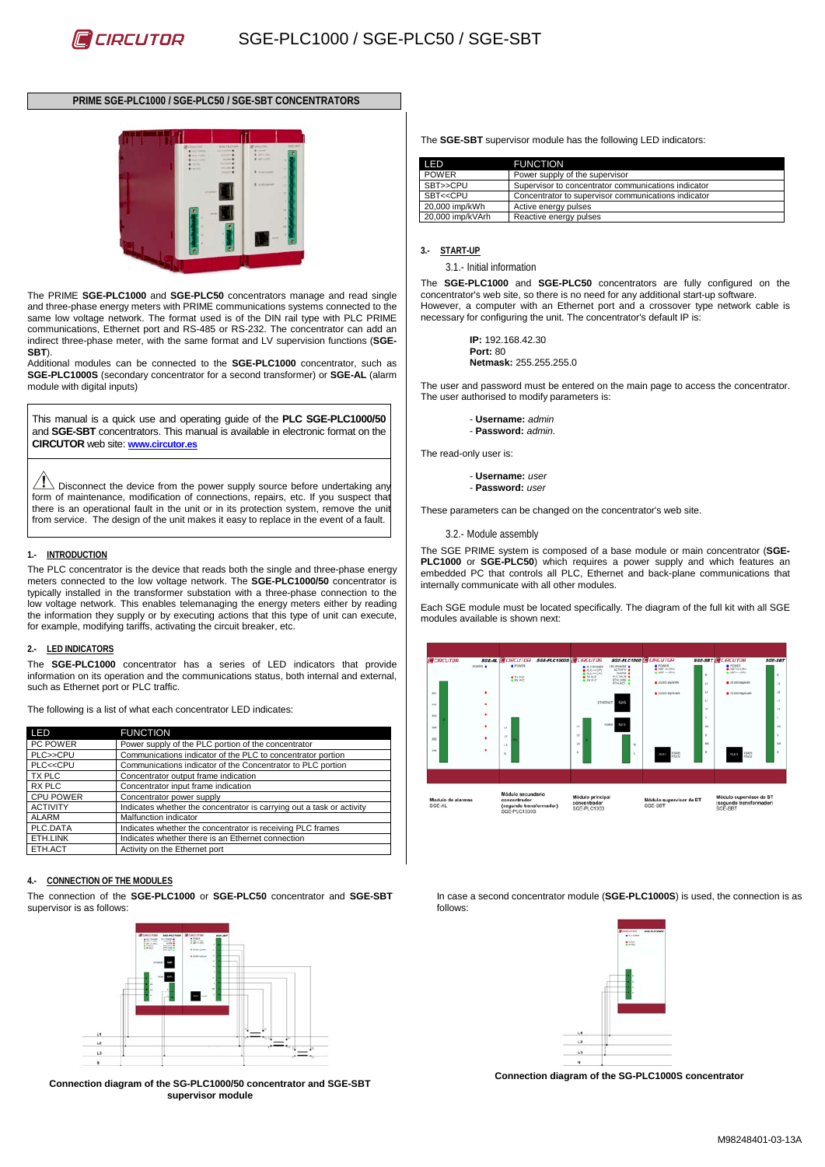# **PRIME SGE-PLC1000 / SGE-PLC50 / SGE-SBT CONCENTRATORS**



The PRIME **SGE-PLC1000** and **SGE-PLC50** concentrators manage and read single and three-phase energy meters with PRIME communications systems connected to the same low voltage network. The format used is of the DIN rail type with PLC PRIME communications, Ethernet port and RS-485 or RS-232. The concentrator can add an indirect three-phase meter, with the same format and LV supervision functions (**SGE-SBT**).

Additional modules can be connected to the **SGE-PLC1000** concentrator, such as **SGE-PLC1000S** (secondary concentrator for a second transformer) or **SGE-AL** (alarm module with digital inputs)

This manual is a quick use and operating guide of the **PLC SGE-PLC1000/50** and **SGE-SBT** concentrators. This manual is available in electronic format on the **CIRCUTOR** web site: **[www.circutor.es](http://www.circutor.es/)**

 $\sqrt{1}$  Disconnect the device from the power supply source before undertaking any form of maintenance, modification of connections, repairs, etc. If you suspect that there is an operational fault in the unit or in its protection system, remove the unit from service. The design of the unit makes it easy to replace in the event of a fault.

#### **1.- INTRODUCTION**

The PLC concentrator is the device that reads both the single and three-phase energy meters connected to the low voltage network. The **SGE-PLC1000/50** concentrator is typically installed in the transformer substation with a three-phase connection to the low voltage network. This enables telemanaging the energy meters either by reading the information they supply or by executing actions that this type of unit can execute, for example, modifying tariffs, activating the circuit breaker, etc.

#### **2.- LED INDICATORS**

The **SGE-PLC1000** concentrator has a series of LED indicators that provide information on its operation and the communications status, both internal and external, such as Ethernet port or PLC traffic.

The following is a list of what each concentrator LED indicates:

| LED                                                                                          | <b>FUNCTION</b>                                                       |  |
|----------------------------------------------------------------------------------------------|-----------------------------------------------------------------------|--|
| PC POWER                                                                                     | Power supply of the PLC portion of the concentrator                   |  |
| PLC>>CPU                                                                                     | Communications indicator of the PLC to concentrator portion           |  |
| PLC< <cpu< td=""><td>Communications indicator of the Concentrator to PLC portion</td></cpu<> | Communications indicator of the Concentrator to PLC portion           |  |
| TX PLC                                                                                       | Concentrator output frame indication                                  |  |
| RX PLC                                                                                       | Concentrator input frame indication                                   |  |
| <b>CPU POWER</b>                                                                             | Concentrator power supply                                             |  |
| <b>ACTIVITY</b>                                                                              | Indicates whether the concentrator is carrying out a task or activity |  |
| <b>ALARM</b>                                                                                 | Malfunction indicator                                                 |  |
| PLC.DATA                                                                                     | Indicates whether the concentrator is receiving PLC frames            |  |
| ETH.LINK                                                                                     | Indicates whether there is an Ethernet connection                     |  |
| ETH.ACT                                                                                      | Activity on the Ethernet port                                         |  |

#### **4.- CONNECTION OF THE MODULES**

The connection of the **SGE-PLC1000** or **SGE-PLC50** concentrator and **SGE-SBT** supervisor is as follows:



**Connection diagram of the SG-PLC1000/50 concentrator and SGE-SBT supervisor module**

The **SGE-SBT** supervisor module has the following LED indicators:

| LED                                                                                  | <b>FUNCTION</b>                                     |
|--------------------------------------------------------------------------------------|-----------------------------------------------------|
| <b>POWER</b>                                                                         | Power supply of the supervisor                      |
| SBT>>CPU                                                                             | Supervisor to concentrator communications indicator |
| SBT< <cpu< td=""><td>Concentrator to supervisor communications indicator</td></cpu<> | Concentrator to supervisor communications indicator |
| 20,000 imp/kWh                                                                       | Active energy pulses                                |
| 20,000 imp/kVArh                                                                     | Reactive energy pulses                              |

#### **3.- START-UP**

3.1.- Initial information

The **SGE-PLC1000** and **SGE-PLC50** concentrators are fully configured on the concentrator's web site, so there is no need for any additional start-up software. However, a computer with an Ethernet port and a crossover type network cable is necessary for configuring the unit. The concentrator's default IP is:

> **IP:** 192.168.42.30 **Port:** 80 **Netmask:** 255.255.255.0

The user and password must be entered on the main page to access the concentrator. The user authorised to modify parameters is:

> - **Username:** *admin* - **Password:** *admin.*

The read-only user is:

- **Username:** *user*

- **Password:** *user*

These parameters can be changed on the concentrator's web site.

3.2.- Module assembly

The SGE PRIME system is composed of a base module or main concentrator (**SGE-PLC1000** or **SGE-PLC50**) which requires a power supply and which features an embedded PC that controls all PLC, Ethernet and back-plane communications that internally communicate with all other modules.

Each SGE module must be located specifically. The diagram of the full kit with all SGE modules available is shown next:



In case a second concentrator module (**SGE-PLC1000S**) is used, the connection is as follows:



**Connection diagram of the SG-PLC1000S concentrator**